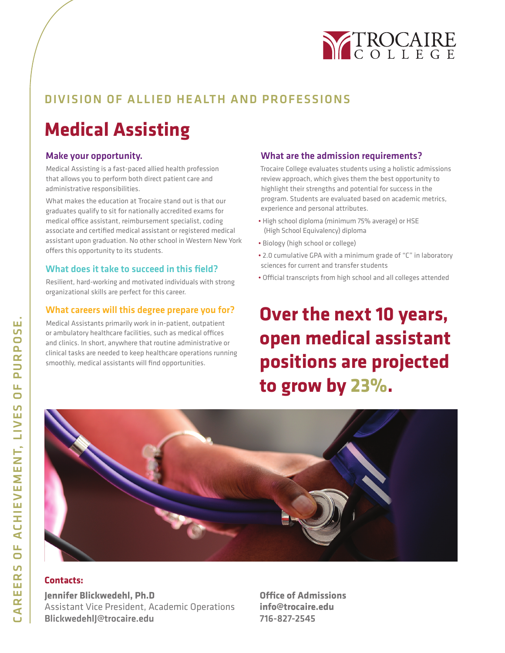

### DIVISION OF ALLIED HEALTH AND PROFESSIONS

## **Medical Assisting**

### Make your opportunity.

Medical Assisting is a fast-paced allied health profession that allows you to perform both direct patient care and administrative responsibilities.

What makes the education at Trocaire stand out is that our graduates qualify to sit for nationally accredited exams for medical office assistant, reimbursement specialist, coding associate and certified medical assistant or registered medical assistant upon graduation. No other school in Western New York offers this opportunity to its students.

### What does it take to succeed in this field?

Resilient, hard-working and motivated individuals with strong organizational skills are perfect for this career.

### What careers will this degree prepare you for?

Medical Assistants primarily work in in-patient, outpatient or ambulatory healthcare facilities, such as medical offices and clinics. In short, anywhere that routine administrative or clinical tasks are needed to keep healthcare operations running smoothly, medical assistants will find opportunities.

### What are the admission requirements?

Trocaire College evaluates students using a holistic admissions review approach, which gives them the best opportunity to highlight their strengths and potential for success in the program. Students are evaluated based on academic metrics, experience and personal attributes.

- High school diploma (minimum 75% average) or HSE (High School Equivalency) diploma
- Biology (high school or college)
- 2.0 cumulative GPA with a minimum grade of "C" in laboratory sciences for current and transfer students
- Official transcripts from high school and all colleges attended

## **Over the next 10 years, open medical assistant positions are projected to grow by 23%.**



### **Contacts:**

**Jennifer Blickwedehl, Ph.D** Assistant Vice President, Academic Operations BlickwedehlJ@trocaire.edu

**Office of Admissions info@trocaire.edu** 716-827-2545